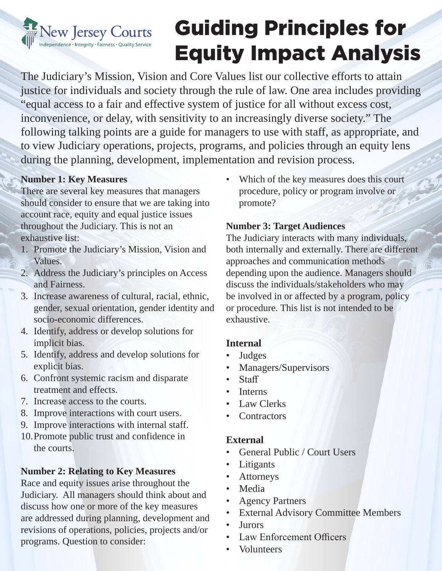# New Jersey Courts dependence • Integrity • Fairness • Quality Service

# Guiding Principles for Equity Impact Analysis

The Judiciary's Mission, Vision and Core Values list our collective efforts to attain justice for individuals and society through the rule of law. One area includes providing "equal access to a fair and effective system of justice for all without excess cost, inconvenience, or delay, with sensitivity to an increasingly diverse society." The following talking points are a guide for managers to use with staff, as appropriate, and to view Judiciary operations, projects, programs, and policies through an equity lens during the planning, development, implementation and revision process.

# **Number 1: Key Measures**

There are several key measures that managers should consider to ensure that we are taking into account race, equity and equal justice issues throughout the Judiciary. This is not an exhaustive list:

- 1. Promote the Judiciary's Mission, Vision and Values.
- 2. Address the Judiciary's principles on Access and Fairness.
- 3. Increase awareness of cultural, racial, ethnic, gender, sexual orientation, gender identity and socio-economic differences.
- 4. Identify, address or develop solutions for implicit bias.
- 5. Identify, address and develop solutions for explicit bias.
- 6. Confront systemic racism and disparate treatment and effects.
- 7. Increase access to the courts.
- 8. Improve interactions with court users.
- 9. Improve interactions with internal staff.
- 10.Promote public trust and confidence in the courts.

# **Number 2: Relating to Key Measures**

Race and equity issues arise throughout the Judiciary. All managers should think about and discuss how one or more of the key measures are addressed during planning, development and revisions of operations, policies, projects and/or programs. Question to consider:

• Which of the key measures does this court procedure, policy or program involve or promote?

#### **Number 3: Target Audiences**

The Judiciary interacts with many individuals, both internally and externally. There are different approaches and communication methods depending upon the audience. Managers should discuss the individuals/stakeholders who may be involved in or affected by a program, policy or procedure. This list is not intended to be exhaustive.

# **Internal**

- **Judges**
- Managers/Supervisors
- Staff
- Interns
- Law Clerks
- Contractors

# **External**

- General Public / Court Users
- Litigants
- Attorneys
- Media
- Agency Partners
- External Advisory Committee Members
- Jurors
- Law Enforcement Officers
- Volunteers